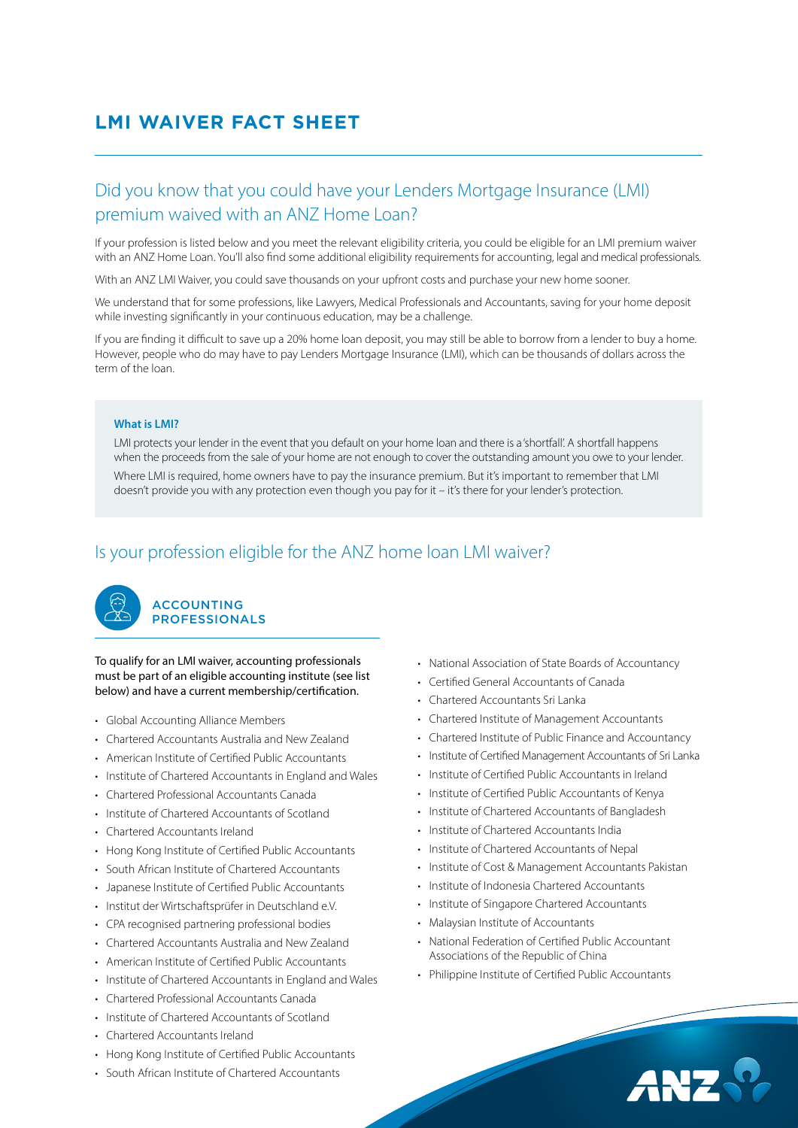# **LMI WAIVER FACT SHEET**

## Did you know that you could have your Lenders Mortgage Insurance (LMI) premium waived with an ANZ Home Loan?

If your profession is listed below and you meet the relevant eligibility criteria, you could be eligible for an LMI premium waiver with an ANZ Home Loan. You'll also find some additional eligibility requirements for accounting, legal and medical professionals.

With an ANZ LMI Waiver, you could save thousands on your upfront costs and purchase your new home sooner.

We understand that for some professions, like Lawyers, Medical Professionals and Accountants, saving for your home deposit while investing significantly in your continuous education, may be a challenge.

If you are finding it difficult to save up a 20% home loan deposit, you may still be able to borrow from a lender to buy a home. However, people who do may have to pay Lenders Mortgage Insurance (LMI), which can be thousands of dollars across the term of the loan.

#### **What is LMI?**

LMI protects your lender in the event that you default on your home loan and there is a 'shortfall'. A shortfall happens when the proceeds from the sale of your home are not enough to cover the outstanding amount you owe to your lender. Where LMI is required, home owners have to pay the insurance premium. But it's important to remember that LMI doesn't provide you with any protection even though you pay for it – it's there for your lender's protection.

## Is your profession eligible for the ANZ home loan LMI waiver?



To qualify for an LMI waiver, accounting professionals must be part of an eligible accounting institute (see list below) and have a current membership/certification.

- Global Accounting Alliance Members
- Chartered Accountants Australia and New Zealand
- American Institute of Certified Public Accountants
- Institute of Chartered Accountants in England and Wales
- Chartered Professional Accountants Canada
- Institute of Chartered Accountants of Scotland
- Chartered Accountants Ireland
- Hong Kong Institute of Certified Public Accountants
- South African Institute of Chartered Accountants
- Japanese Institute of Certified Public Accountants
- Institut der Wirtschaftsprüfer in Deutschland e.V.
- CPA recognised partnering professional bodies
- Chartered Accountants Australia and New Zealand
- American Institute of Certified Public Accountants
- Institute of Chartered Accountants in England and Wales
- Chartered Professional Accountants Canada
- Institute of Chartered Accountants of Scotland
- Chartered Accountants Ireland
- Hong Kong Institute of Certified Public Accountants
- South African Institute of Chartered Accountants
- National Association of State Boards of Accountancy
- Certified General Accountants of Canada
- Chartered Accountants Sri Lanka
- Chartered Institute of Management Accountants
- Chartered Institute of Public Finance and Accountancy
- Institute of Certified Management Accountants of Sri Lanka
- Institute of Certified Public Accountants in Ireland
- Institute of Certified Public Accountants of Kenya
- Institute of Chartered Accountants of Bangladesh
- Institute of Chartered Accountants India
- Institute of Chartered Accountants of Nepal
- Institute of Cost & Management Accountants Pakistan
- Institute of Indonesia Chartered Accountants
- Institute of Singapore Chartered Accountants
- Malaysian Institute of Accountants
- National Federation of Certified Public Accountant Associations of the Republic of China
- Philippine Institute of Certified Public Accountants